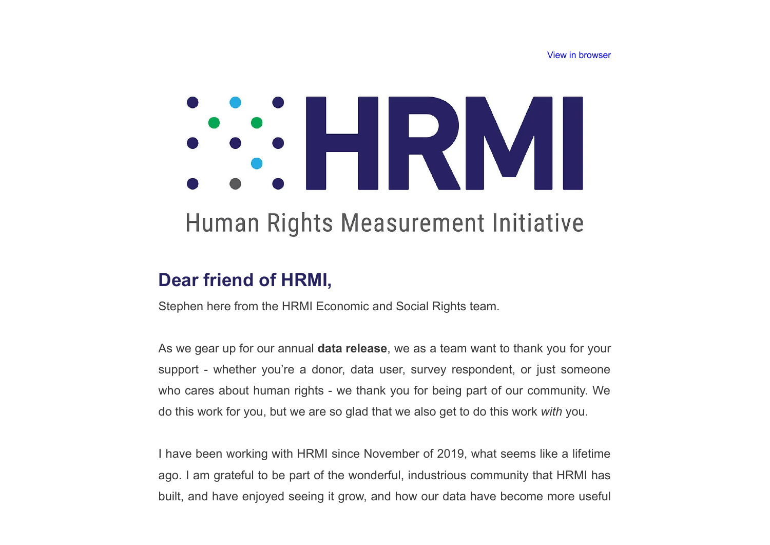[View in browser](http://humanrightsmeasurement-20854648.hs-sites.com/hrmi-newsletter-2022-data-launches-coming-up?ecid=ACsprvue9IdAbetY17HGBlUeYohJ0ZT7RbbxlMJt9NcxZIreBTJVHGo-OhA2rJFq3HnX87YVILin&utm_source=hs_email&utm_medium=email)

# SOLENY

# Human Rights Measurement Initiative

### **Dear friend of HRMI,**

Stephen here from the HRMI Economic and Social Rights team.

As we gear up for our annual **data release**, we as a team want to thank you for your support - whether you're a donor, data user, survey respondent, or just someone who cares about human rights - we thank you for being part of our community. We do this work for you, but we are so glad that we also get to do this work *with* you.

I have been working with HRMI since November of 2019, what seems like a lifetime ago. I am grateful to be part of the wonderful, industrious community that HRMI has built, and have enjoyed seeing it grow, and how our data have become more useful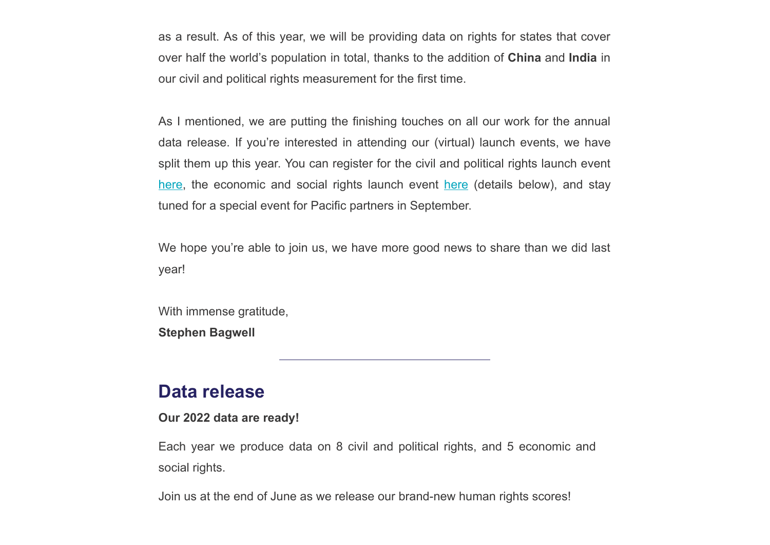as a result. As of this year, we will be providing data on rights for states that cover over half the world's population in total, thanks to the addition of **China** and **India** in our civil and political rights measurement for the first time.

As I mentioned, we are putting the finishing touches on all our work for the annual data release. If you're interested in attending our (virtual) launch events, we have split them up this year. You can register for the civil and political rights launch event [here,](https://us02web.zoom.us/webinar/register/WN_dJJXjoIKT3uGxpbVIoqFUw?utm_source=hs_email&utm_medium=email) the economic and social rights launch event [here](https://us02web.zoom.us/webinar/register/WN_UfHpNqnzQtyXOZAapsHvxA?utm_source=hs_email&utm_medium=email) (details below), and stay tuned for a special event for Pacific partners in September.

We hope you're able to join us, we have more good news to share than we did last year!

With immense gratitude, **Stephen Bagwell**

#### **Data release**

#### **Our 2022 data are ready!**

Each year we produce data on 8 civil and political rights, and 5 economic and social rights.

Join us at the end of June as we release our brand-new human rights scores!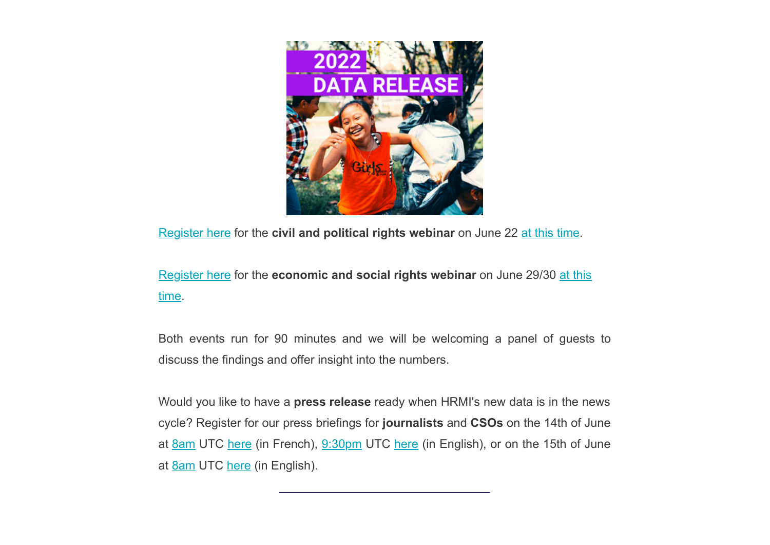

[Register here](https://us02web.zoom.us/webinar/register/WN_dJJXjoIKT3uGxpbVIoqFUw?utm_source=hs_email&utm_medium=email) for the **civil and political rights webinar** on June 22 [at this time](https://everytimezone.com/s/3b948b72?utm_source=hs_email&utm_medium=email).

[Register here](https://us02web.zoom.us/webinar/register/WN_UfHpNqnzQtyXOZAapsHvxA?utm_source=hs_email&utm_medium=email) for the **[economic and social rights webinar](https://everytimezone.com/s/08c15da6?utm_source=hs_email&utm_medium=email)** on June 29/30 at this time.

Both events run for 90 minutes and we will be welcoming a panel of guests to discuss the findings and offer insight into the numbers.

Would you like to have a **press release** ready when HRMI's new data is in the news cycle? Register for our press briefings for **journalists** and **CSOs** on the 14th of June at [8am](https://everytimezone.com/s/bf858017?utm_source=hs_email&utm_medium=email) UTC [here](https://us02web.zoom.us/meeting/register/tZYudO6przksEtGWqkLhsD67qhvoFJoQWn81?utm_source=hs_email&utm_medium=email) (in French), [9:30pm](https://everytimezone.com/s/989c7954?utm_source=hs_email&utm_medium=email) UTC here (in English), or on the 15th of June at [8am](https://everytimezone.com/s/9f06cf8a?utm_source=hs_email&utm_medium=email) UTC [here](https://us02web.zoom.us/meeting/register/tZMtduGvrDsjHNUj0UsLR3EYhs_m9dvMZd9N?utm_source=hs_email&utm_medium=email) (in English).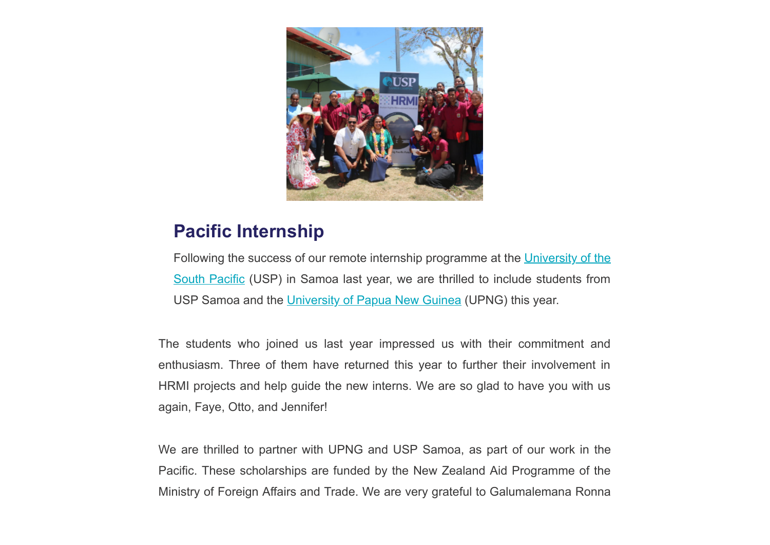

#### **Pacific Internship**

[Following the success of our remote internship programme at the University of the](https://www.usp.ac.fj/samoa/?utm_source=hs_email&utm_medium=email) South Pacific (USP) in Samoa last year, we are thrilled to include students from USP Samoa and the [University of Papua New Guinea](https://www.upng.ac.pg/?utm_source=hs_email&utm_medium=email) (UPNG) this year.

The students who joined us last year impressed us with their commitment and enthusiasm. Three of them have returned this year to further their involvement in HRMI projects and help guide the new interns. We are so glad to have you with us again, Faye, Otto, and Jennifer!

We are thrilled to partner with UPNG and USP Samoa, as part of our work in the Pacific. These scholarships are funded by the New Zealand Aid Programme of the Ministry of Foreign Affairs and Trade. We are very grateful to Galumalemana Ronna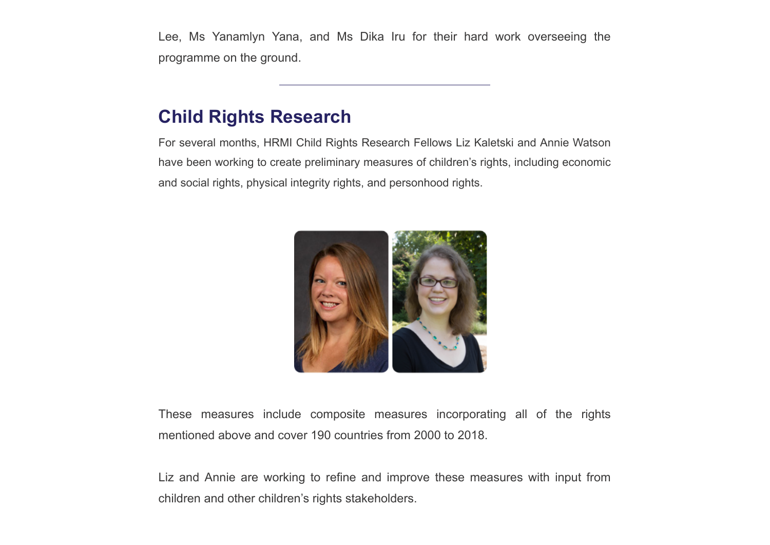Lee, Ms Yanamlyn Yana, and Ms Dika Iru for their hard work overseeing the programme on the ground.

#### **Child Rights Research**

For several months, HRMI Child Rights Research Fellows Liz Kaletski and Annie Watson have been working to create preliminary measures of children's rights, including economic and social rights, physical integrity rights, and personhood rights.



These measures include composite measures incorporating all of the rights mentioned above and cover 190 countries from 2000 to 2018.

Liz and Annie are working to refine and improve these measures with input from children and other children's rights stakeholders.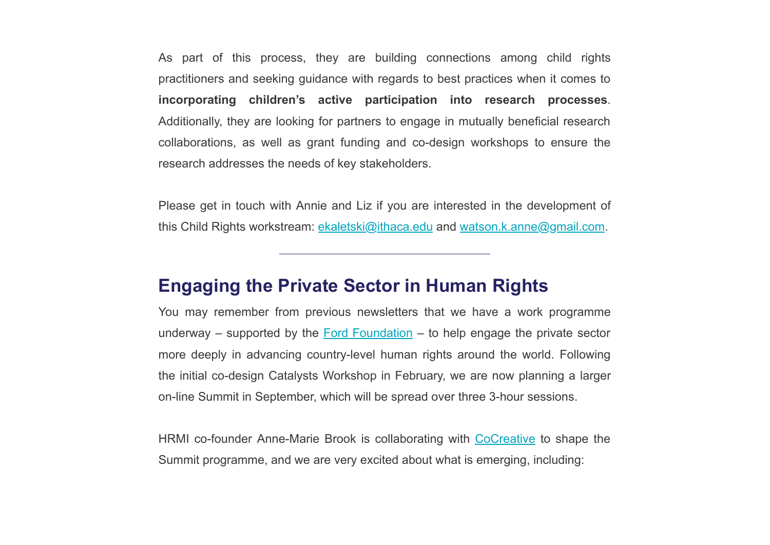As part of this process, they are building connections among child rights practitioners and seeking guidance with regards to best practices when it comes to **incorporating children's active participation into research processes**. Additionally, they are looking for partners to engage in mutually beneficial research collaborations, as well as grant funding and co-design workshops to ensure the research addresses the needs of key stakeholders.

Please get in touch with Annie and Liz if you are interested in the development of this Child Rights workstream: [ekaletski@ithaca.edu](mailto:ekaletski@ithaca.edu) and [watson.k.anne@gmail.com](mailto:watson.k.anne@gmail.com).

#### **Engaging the Private Sector in Human Rights**

You may remember from previous newsletters that we have a work programme underway – supported by the [Ford Foundation](https://www.fordfoundation.org/?utm_source=hs_email&utm_medium=email) – to help engage the private sector more deeply in advancing country-level human rights around the world. Following the initial co-design Catalysts Workshop in February, we are now planning a larger on-line Summit in September, which will be spread over three 3-hour sessions.

HRMI co-founder Anne-Marie Brook is collaborating with [CoCreative](https://www.wearecocreative.com/?utm_source=hs_email&utm_medium=email) to shape the Summit programme, and we are very excited about what is emerging, including: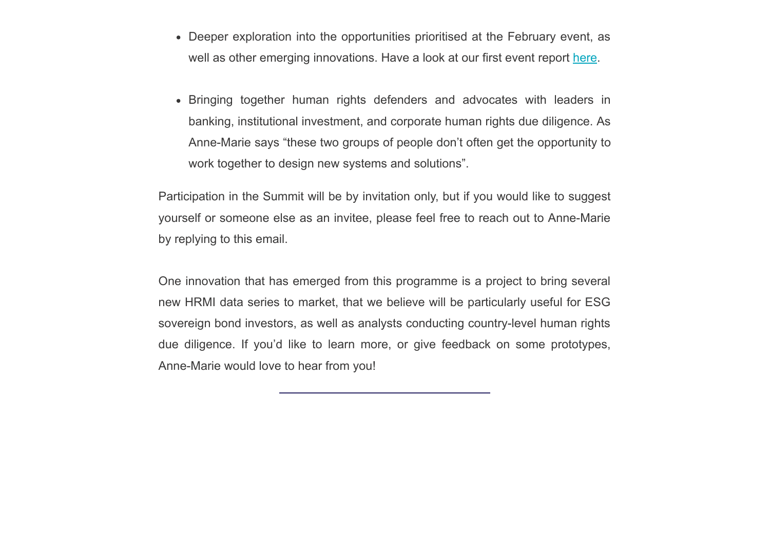- Deeper exploration into the opportunities prioritised at the February event, as well as other emerging innovations. Have a look at our first event report [here.](https://humanrightsmeasurement.org/wp-content/uploads/2022/05/HRMI-Catalysts-Workshop-Report-Feb-2022.pdf?utm_source=hs_email&utm_medium=email)
- Bringing together human rights defenders and advocates with leaders in banking, institutional investment, and corporate human rights due diligence. As Anne-Marie says "these two groups of people don't often get the opportunity to work together to design new systems and solutions".

Participation in the Summit will be by invitation only, but if you would like to suggest yourself or someone else as an invitee, please feel free to reach out to Anne-Marie by replying to this email.

One innovation that has emerged from this programme is a project to bring several new HRMI data series to market, that we believe will be particularly useful for ESG sovereign bond investors, as well as analysts conducting country-level human rights due diligence. If you'd like to learn more, or give feedback on some prototypes, Anne-Marie would love to hear from you!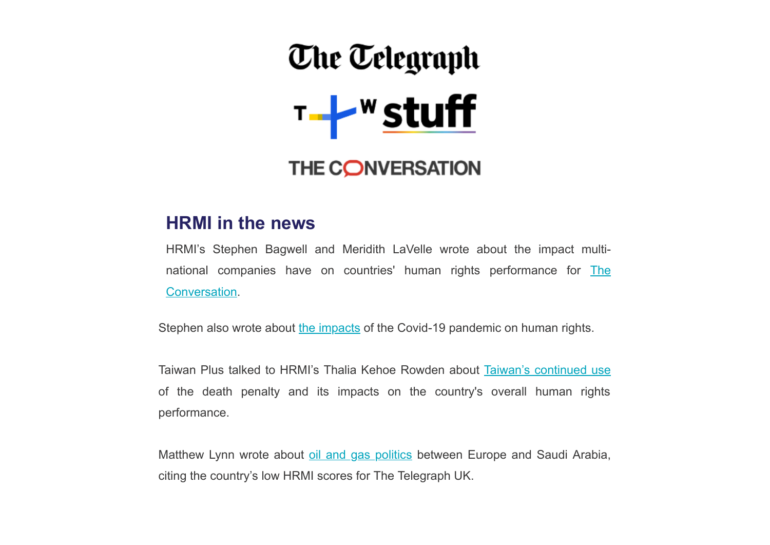# **The Telegraph**  $T - 1$ <sup>w</sup> stuff

## THE CONVERSATION

#### **HRMI in the news**

HRMI's Stephen Bagwell and Meridith LaVelle wrote about the impact multi[national companies have on countries' human rights performance for The](https://theconversation.com/foreign-companies-exiting-russia-echo-the-pressure-campaign-against-south-africas-racist-apartheid-system-182633?utm_source=hs_email&utm_medium=email) Conversation.

Stephen also wrote about [the impacts](https://theconversation.com/human-rights-declined-during-the-covid-19-pandemic-in-countries-from-angola-to-the-us-to-new-zealand-179543?utm_source=hs_email&utm_medium=email) of the Covid-19 pandemic on human rights.

Taiwan Plus talked to HRMI's Thalia Kehoe Rowden about [Taiwan's continued use](https://www.taiwanplus.com/taiwan%20news/220429007?utm_source=hs_email&utm_medium=email) of the death penalty and its impacts on the country's overall human rights performance.

Matthew Lynn wrote about [oil and gas politics](https://www.telegraph.co.uk/business/2022/03/14/swapping-russian-gas-saudi-oil-not-answer/?utm_source=hs_email&utm_medium=email) between Europe and Saudi Arabia, citing the country's low HRMI scores for The Telegraph UK.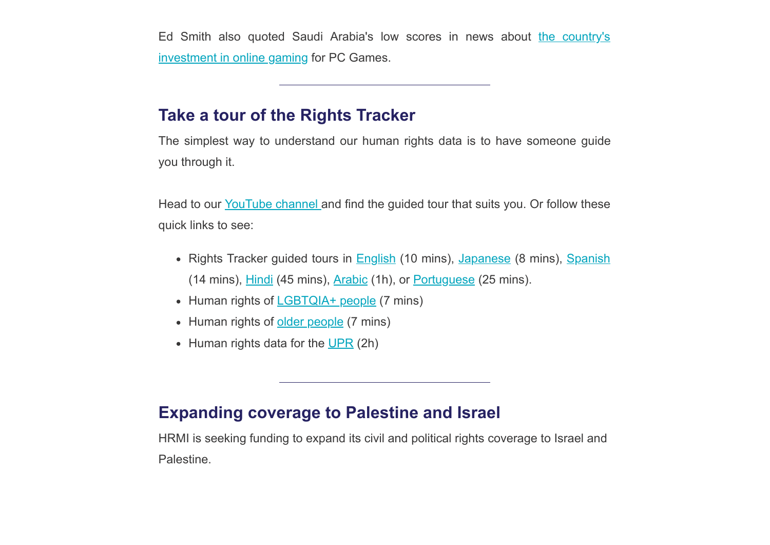[Ed Smith also quoted Saudi Arabia's low scores in news about the country's](https://www.pcgamesn.com/tomb-raider/borderlands-halo-saudi-owner?utm_source=hs_email&utm_medium=email) investment in online gaming for PC Games.

#### **Take a tour of the Rights Tracker**

The simplest way to understand our human rights data is to have someone guide you through it.

Head to our [YouTube channel a](https://www.youtube.com/channel/UC_XpzOH8bFVeZyW9eHvv3vQ/videos?utm_source=hs_email&utm_medium=email)nd find the guided tour that suits you. Or follow these quick links to see:

- Rights Tracker guided tours in **[English](https://www.youtube.com/watch?v=LpLcG9U3H84&t=21s&utm_source=hs_email&utm_medium=email) (10 mins)**, [Japanese](https://www.youtube.com/watch?v=vzZLrdaFR3s&t=402s&utm_source=hs_email&utm_medium=email) (8 mins), [Spanish](https://www.youtube.com/watch?v=T1DFPT_Z-FI&utm_source=hs_email&utm_medium=email) (14 mins), [Hindi](https://www.youtube.com/watch?v=q5VNKYYn7Ok&t=2403s&utm_source=hs_email&utm_medium=email) (45 mins), [Arabic](https://www.youtube.com/watch?v=NqpeQeUgYX0&t=4s&utm_source=hs_email&utm_medium=email) (1h), or [Portuguese](https://www.youtube.com/watch?v=Vmaz5Tju7oE&t=472s&utm_source=hs_email&utm_medium=email) (25 mins).
- Human rights of [LGBTQIA+ people](https://www.youtube.com/watch?v=Sa6Ug4xIODs&utm_source=hs_email&utm_medium=email) (7 mins)
- Human rights of [older people](https://www.youtube.com/watch?v=HBcEOKc7Ods&t=1s&utm_source=hs_email&utm_medium=email) (7 mins)
- $\bullet$  Human rights data for the [UPR](https://www.youtube.com/watch?v=6YsM-98x_WU&t=812s&utm_source=hs_email&utm_medium=email) (2h)

#### **Expanding coverage to Palestine and Israel**

HRMI is seeking funding to expand its civil and political rights coverage to Israel and Palestine.